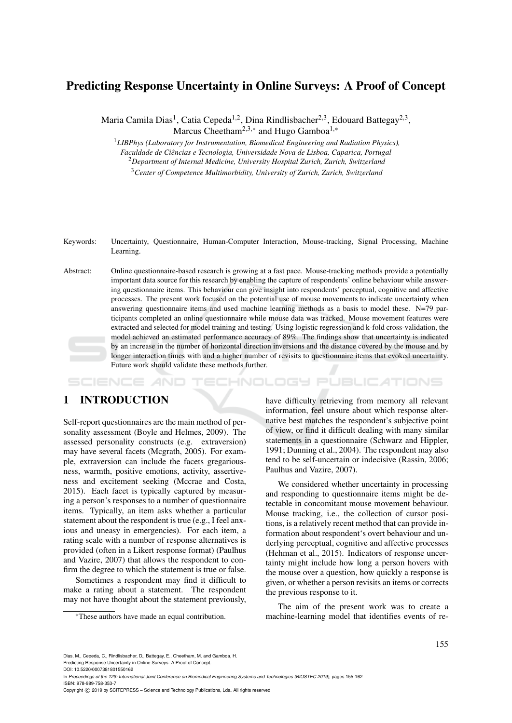# Predicting Response Uncertainty in Online Surveys: A Proof of Concept

Maria Camila Dias<sup>1</sup>, Catia Cepeda<sup>1,2</sup>, Dina Rindlisbacher<sup>2,3</sup>, Edouard Battegay<sup>2,3</sup>, Marcus Cheetham<sup>2,3,∗</sup> and Hugo Gamboa<sup>1,∗</sup>

<sup>1</sup>*LIBPhys (Laboratory for Instrumentation, Biomedical Engineering and Radiation Physics),*

*Faculdade de Ciências e Tecnologia, Universidade Nova de Lisboa, Caparica, Portugal* <sup>2</sup>*Department of Internal Medicine, University Hospital Zurich, Zurich, Switzerland*

<sup>3</sup>*Center of Competence Multimorbidity, University of Zurich, Zurich, Switzerland*

Keywords: Uncertainty, Questionnaire, Human-Computer Interaction, Mouse-tracking, Signal Processing, Machine Learning.

Abstract: Online questionnaire-based research is growing at a fast pace. Mouse-tracking methods provide a potentially important data source for this research by enabling the capture of respondents' online behaviour while answering questionnaire items. This behaviour can give insight into respondents' perceptual, cognitive and affective processes. The present work focused on the potential use of mouse movements to indicate uncertainty when answering questionnaire items and used machine learning methods as a basis to model these. N=79 participants completed an online questionnaire while mouse data was tracked. Mouse movement features were extracted and selected for model training and testing. Using logistic regression and k-fold cross-validation, the model achieved an estimated performance accuracy of 89%. The findings show that uncertainty is indicated by an increase in the number of horizontal direction inversions and the distance covered by the mouse and by longer interaction times with and a higher number of revisits to questionnaire items that evoked uncertainty. Future work should validate these methods further.

INOLOGY PUBLICATIONS

# 1 INTRODUCTION

Self-report questionnaires are the main method of personality assessment (Boyle and Helmes, 2009). The assessed personality constructs (e.g. extraversion) may have several facets (Mcgrath, 2005). For example, extraversion can include the facets gregariousness, warmth, positive emotions, activity, assertiveness and excitement seeking (Mccrae and Costa, 2015). Each facet is typically captured by measuring a person's responses to a number of questionnaire items. Typically, an item asks whether a particular statement about the respondent is true (e.g., I feel anxious and uneasy in emergencies). For each item, a rating scale with a number of response alternatives is provided (often in a Likert response format) (Paulhus and Vazire, 2007) that allows the respondent to confirm the degree to which the statement is true or false.

Sometimes a respondent may find it difficult to make a rating about a statement. The respondent may not have thought about the statement previously,

<sup>∗</sup>These authors have made an equal contribution.

have difficulty retrieving from memory all relevant information, feel unsure about which response alternative best matches the respondent's subjective point of view, or find it difficult dealing with many similar statements in a questionnaire (Schwarz and Hippler, 1991; Dunning et al., 2004). The respondent may also tend to be self-uncertain or indecisive (Rassin, 2006; Paulhus and Vazire, 2007).

We considered whether uncertainty in processing and responding to questionnaire items might be detectable in concomitant mouse movement behaviour. Mouse tracking, i.e., the collection of cursor positions, is a relatively recent method that can provide information about respondent's overt behaviour and underlying perceptual, cognitive and affective processes (Hehman et al., 2015). Indicators of response uncertainty might include how long a person hovers with the mouse over a question, how quickly a response is given, or whether a person revisits an items or corrects the previous response to it.

The aim of the present work was to create a machine-learning model that identifies events of re-

Predicting Response Uncertainty in Online Surveys: A Proof of Concept. DOI: 10.5220/0007381801550162

Dias, M., Cepeda, C., Rindlisbacher, D., Battegay, E., Cheetham, M. and Gamboa, H.

In *Proceedings of the 12th International Joint Conference on Biomedical Engineering Systems and Technologies (BIOSTEC 2019)*, pages 155-162 ISBN: 978-989-758-353-7

Copyright © 2019 by SCITEPRESS - Science and Technology Publications, Lda. All rights reserved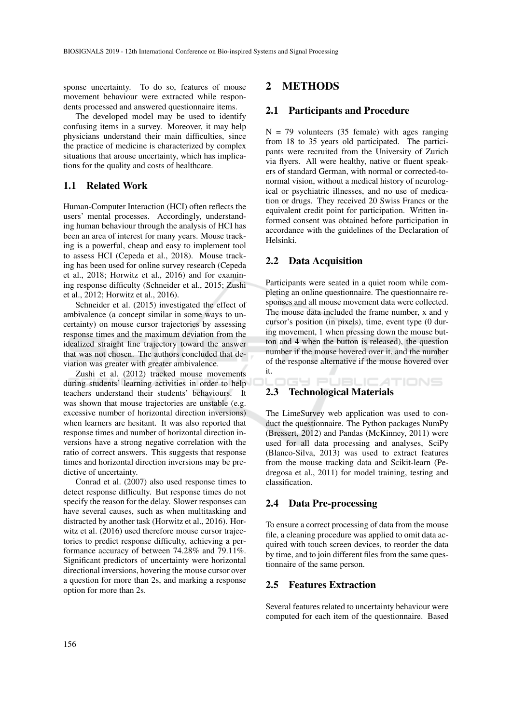sponse uncertainty. To do so, features of mouse movement behaviour were extracted while respondents processed and answered questionnaire items.

The developed model may be used to identify confusing items in a survey. Moreover, it may help physicians understand their main difficulties, since the practice of medicine is characterized by complex situations that arouse uncertainty, which has implications for the quality and costs of healthcare.

## 1.1 Related Work

Human-Computer Interaction (HCI) often reflects the users' mental processes. Accordingly, understanding human behaviour through the analysis of HCI has been an area of interest for many years. Mouse tracking is a powerful, cheap and easy to implement tool to assess HCI (Cepeda et al., 2018). Mouse tracking has been used for online survey research (Cepeda et al., 2018; Horwitz et al., 2016) and for examining response difficulty (Schneider et al., 2015; Zushi et al., 2012; Horwitz et al., 2016).

Schneider et al. (2015) investigated the effect of ambivalence (a concept similar in some ways to uncertainty) on mouse cursor trajectories by assessing response times and the maximum deviation from the idealized straight line trajectory toward the answer that was not chosen. The authors concluded that deviation was greater with greater ambivalence.

Zushi et al. (2012) tracked mouse movements during students' learning activities in order to help teachers understand their students' behaviours. It was shown that mouse trajectories are unstable (e.g. excessive number of horizontal direction inversions) when learners are hesitant. It was also reported that response times and number of horizontal direction inversions have a strong negative correlation with the ratio of correct answers. This suggests that response times and horizontal direction inversions may be predictive of uncertainty.

Conrad et al. (2007) also used response times to detect response difficulty. But response times do not specify the reason for the delay. Slower responses can have several causes, such as when multitasking and distracted by another task (Horwitz et al., 2016). Horwitz et al. (2016) used therefore mouse cursor trajectories to predict response difficulty, achieving a performance accuracy of between 74.28% and 79.11%. Significant predictors of uncertainty were horizontal directional inversions, hovering the mouse cursor over a question for more than 2s, and marking a response option for more than 2s.

## 2 METHODS

### 2.1 Participants and Procedure

 $N = 79$  volunteers (35 female) with ages ranging from 18 to 35 years old participated. The participants were recruited from the University of Zurich via flyers. All were healthy, native or fluent speakers of standard German, with normal or corrected-tonormal vision, without a medical history of neurological or psychiatric illnesses, and no use of medication or drugs. They received 20 Swiss Francs or the equivalent credit point for participation. Written informed consent was obtained before participation in accordance with the guidelines of the Declaration of Helsinki.

## 2.2 Data Acquisition

Participants were seated in a quiet room while completing an online questionnaire. The questionnaire responses and all mouse movement data were collected. The mouse data included the frame number, x and y cursor's position (in pixels), time, event type (0 during movement, 1 when pressing down the mouse button and 4 when the button is released), the question number if the mouse hovered over it, and the number of the response alternative if the mouse hovered over it.

ATIONS

## IGY PUBLIC 2.3 Technological Materials

The LimeSurvey web application was used to conduct the questionnaire. The Python packages NumPy (Bressert, 2012) and Pandas (McKinney, 2011) were used for all data processing and analyses, SciPy (Blanco-Silva, 2013) was used to extract features from the mouse tracking data and Scikit-learn (Pedregosa et al., 2011) for model training, testing and classification.

## 2.4 Data Pre-processing

To ensure a correct processing of data from the mouse file, a cleaning procedure was applied to omit data acquired with touch screen devices, to reorder the data by time, and to join different files from the same questionnaire of the same person.

## 2.5 Features Extraction

Several features related to uncertainty behaviour were computed for each item of the questionnaire. Based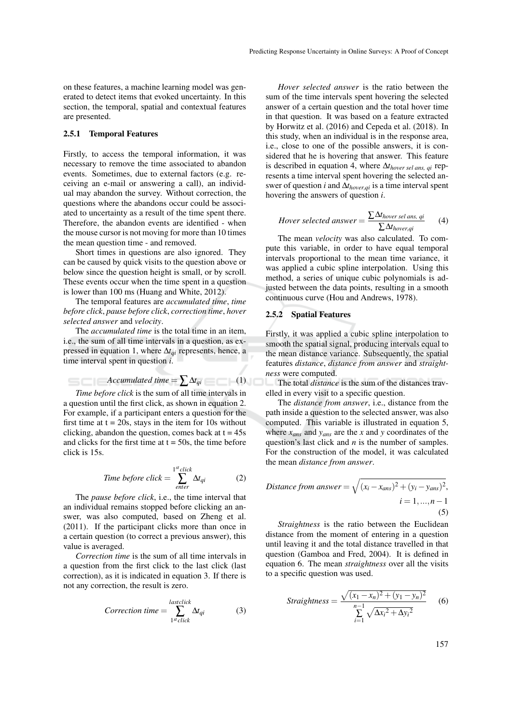on these features, a machine learning model was generated to detect items that evoked uncertainty. In this section, the temporal, spatial and contextual features are presented.

### 2.5.1 Temporal Features

Firstly, to access the temporal information, it was necessary to remove the time associated to abandon events. Sometimes, due to external factors (e.g. receiving an e-mail or answering a call), an individual may abandon the survey. Without correction, the questions where the abandons occur could be associated to uncertainty as a result of the time spent there. Therefore, the abandon events are identified - when the mouse cursor is not moving for more than 10 times the mean question time - and removed.

Short times in questions are also ignored. They can be caused by quick visits to the question above or below since the question height is small, or by scroll. These events occur when the time spent in a question is lower than 100 ms (Huang and White, 2012).

The temporal features are *accumulated time*, *time before click*, *pause before click*, *correction time*, *hover selected answer* and *velocity*.

The *accumulated time* is the total time in an item, i.e., the sum of all time intervals in a question, as expressed in equation 1, where ∆*tqi* represents, hence, a time interval spent in question *i*.

*Accumulated time* =  $\sum \Delta t_{qi}$  (1)

*Time before click* is the sum of all time intervals in a question until the first click, as shown in equation 2. For example, if a participant enters a question for the first time at  $t = 20s$ , stays in the item for 10s without clicking, abandon the question, comes back at  $t = 45s$ and clicks for the first time at  $t = 50s$ , the time before click is 15s.

$$
Time\ before\ click = \sum_{enter}^{1^{st}\ click} \Delta t_{qi} \tag{2}
$$

The *pause before click*, i.e., the time interval that an individual remains stopped before clicking an answer, was also computed, based on Zheng et al. (2011). If the participant clicks more than once in a certain question (to correct a previous answer), this value is averaged.

*Correction time* is the sum of all time intervals in a question from the first click to the last click (last correction), as it is indicated in equation 3. If there is not any correction, the result is zero.

$$
Correction time = \sum_{1^{st}click}^{lastclick} \Delta t_{qi}
$$
 (3)

*Hover selected answer* is the ratio between the sum of the time intervals spent hovering the selected answer of a certain question and the total hover time in that question. It was based on a feature extracted by Horwitz et al. (2016) and Cepeda et al. (2018). In this study, when an individual is in the response area, i.e., close to one of the possible answers, it is considered that he is hovering that answer. This feature is described in equation 4, where ∆*thover sel ans, qi* represents a time interval spent hovering the selected answer of question *i* and ∆*thover*,*qi* is a time interval spent hovering the answers of question *i*.

$$
However selected answer = \frac{\sum \Delta t_{hover\ sel\ ans\,\ qi}}{\sum \Delta t_{hover\,gi}} \tag{4}
$$

The mean *velocity* was also calculated. To compute this variable, in order to have equal temporal intervals proportional to the mean time variance, it was applied a cubic spline interpolation. Using this method, a series of unique cubic polynomials is adjusted between the data points, resulting in a smooth continuous curve (Hou and Andrews, 1978).

### 2.5.2 Spatial Features

Firstly, it was applied a cubic spline interpolation to smooth the spatial signal, producing intervals equal to the mean distance variance. Subsequently, the spatial features *distance*, *distance from answer* and *straightness* were computed.

The total *distance* is the sum of the distances travelled in every visit to a specific question.

The *distance from answer*, i.e., distance from the path inside a question to the selected answer, was also computed. This variable is illustrated in equation 5, where *xans* and *yans* are the *x* and *y* coordinates of the question's last click and *n* is the number of samples. For the construction of the model, it was calculated the mean *distance from answer*.

Distance from answer = 
$$
\sqrt{(x_i - x_{ans})^2 + (y_i - y_{ans})^2}
$$
,  
\n $i = 1,...,n-1$  (5)

*Straightness* is the ratio between the Euclidean distance from the moment of entering in a question until leaving it and the total distance travelled in that question (Gamboa and Fred, 2004). It is defined in equation 6. The mean *straightness* over all the visits to a specific question was used.

Strajphness = 
$$
\frac{\sqrt{(x_1 - x_n)^2 + (y_1 - y_n)^2}}{\sum_{i=1}^{n-1} \sqrt{\Delta x_i^2 + \Delta y_i^2}}
$$
 (6)

157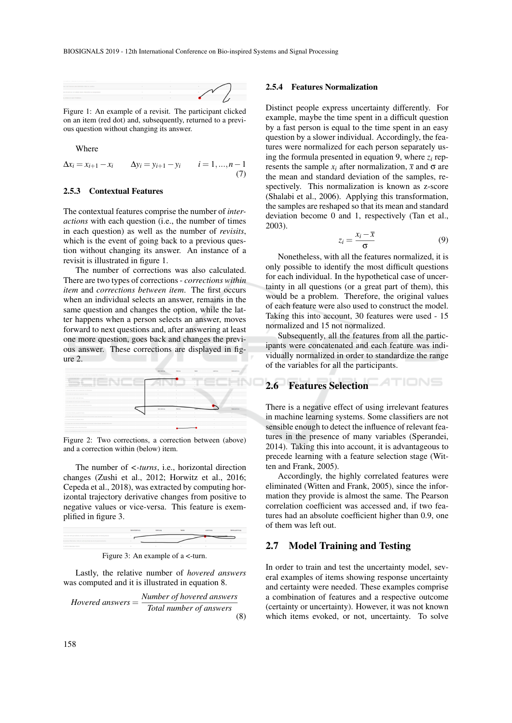| (ex, out they are only abstracted their as system.)                      |  |  |
|--------------------------------------------------------------------------|--|--|
| the sith with him at h matterly learned. Was action by straing character |  |  |
| as release and march Partial home.                                       |  |  |
|                                                                          |  |  |

Figure 1: An example of a revisit. The participant clicked on an item (red dot) and, subsequently, returned to a previous question without changing its answer.

Where

$$
\Delta x_i = x_{i+1} - x_i \qquad \Delta y_i = y_{i+1} - y_i \qquad i = 1, ..., n-1
$$
  
(7)

### 2.5.3 Contextual Features

The contextual features comprise the number of *interactions* with each question (i.e., the number of times in each question) as well as the number of *revisits*, which is the event of going back to a previous question without changing its answer. An instance of a revisit is illustrated in figure 1.

The number of corrections was also calculated. There are two types of corrections - *corrections within item* and *corrections between item*. The first occurs when an individual selects an answer, remains in the same question and changes the option, while the latter happens when a person selects an answer, moves forward to next questions and, after answering at least one more question, goes back and changes the previous answer. These corrections are displayed in figure 2.



Figure 2: Two corrections, a correction between (above) and a correction within (below) item.

The number of *<-turns*, i.e., horizontal direction changes (Zushi et al., 2012; Horwitz et al., 2016; Cepeda et al., 2018), was extracted by computing horizontal trajectory derivative changes from positive to negative values or vice-versa. This feature is exemplified in figure 3.



Figure 3: An example of a <-turn.

Lastly, the relative number of *hovered answers* was computed and it is illustrated in equation 8.

*Hovered answers* = *Number of hovered answers Total number of answers* (8)

### 2.5.4 Features Normalization

Distinct people express uncertainty differently. For example, maybe the time spent in a difficult question by a fast person is equal to the time spent in an easy question by a slower individual. Accordingly, the features were normalized for each person separately using the formula presented in equation 9, where *z<sup>i</sup>* represents the sample  $x_i$  after normalization,  $\bar{x}$  and  $\sigma$  are the mean and standard deviation of the samples, respectively. This normalization is known as z-score (Shalabi et al., 2006). Applying this transformation, the samples are reshaped so that its mean and standard deviation become 0 and 1, respectively (Tan et al., 2003).

$$
z_i = \frac{x_i - \bar{x}}{\sigma} \tag{9}
$$

Nonetheless, with all the features normalized, it is only possible to identify the most difficult questions for each individual. In the hypothetical case of uncertainty in all questions (or a great part of them), this would be a problem. Therefore, the original values of each feature were also used to construct the model. Taking this into account, 30 features were used - 15 normalized and 15 not normalized.

Subsequently, all the features from all the participants were concatenated and each feature was individually normalized in order to standardize the range of the variables for all the participants.

#### TIONS 2.6 Features Selection

There is a negative effect of using irrelevant features in machine learning systems. Some classifiers are not sensible enough to detect the influence of relevant features in the presence of many variables (Sperandei, 2014). Taking this into account, it is advantageous to precede learning with a feature selection stage (Witten and Frank, 2005).

Accordingly, the highly correlated features were eliminated (Witten and Frank, 2005), since the information they provide is almost the same. The Pearson correlation coefficient was accessed and, if two features had an absolute coefficient higher than 0.9, one of them was left out.

## 2.7 Model Training and Testing

In order to train and test the uncertainty model, several examples of items showing response uncertainty and certainty were needed. These examples comprise a combination of features and a respective outcome (certainty or uncertainty). However, it was not known which items evoked, or not, uncertainty. To solve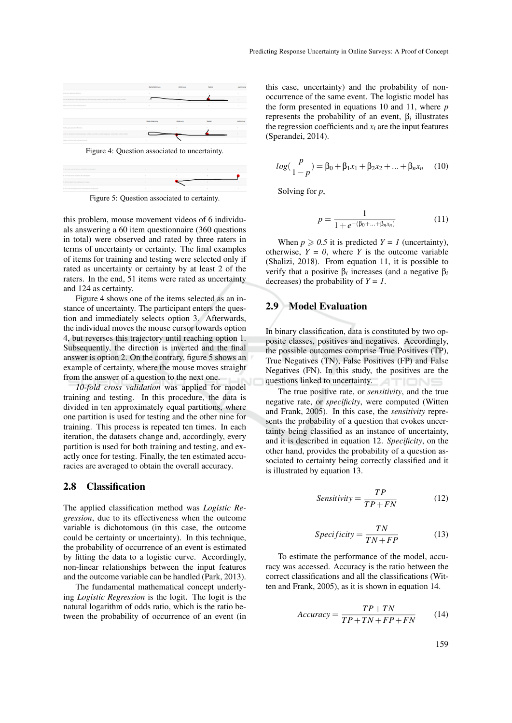



Figure 5: Question associated to certainty.

this problem, mouse movement videos of 6 individuals answering a 60 item questionnaire (360 questions in total) were observed and rated by three raters in terms of uncertainty or certainty. The final examples of items for training and testing were selected only if rated as uncertainty or certainty by at least 2 of the raters. In the end, 51 items were rated as uncertainty and 124 as certainty.

Figure 4 shows one of the items selected as an instance of uncertainty. The participant enters the question and immediately selects option 3. Afterwards, the individual moves the mouse cursor towards option 4, but reverses this trajectory until reaching option 1. Subsequently, the direction is inverted and the final answer is option 2. On the contrary, figure 5 shows an example of certainty, where the mouse moves straight from the answer of a question to the next one.

*10-fold cross validation* was applied for model training and testing. In this procedure, the data is divided in ten approximately equal partitions, where one partition is used for testing and the other nine for training. This process is repeated ten times. In each iteration, the datasets change and, accordingly, every partition is used for both training and testing, and exactly once for testing. Finally, the ten estimated accuracies are averaged to obtain the overall accuracy.

## 2.8 Classification

The applied classification method was *Logistic Regression*, due to its effectiveness when the outcome variable is dichotomous (in this case, the outcome could be certainty or uncertainty). In this technique, the probability of occurrence of an event is estimated by fitting the data to a logistic curve. Accordingly, non-linear relationships between the input features and the outcome variable can be handled (Park, 2013).

The fundamental mathematical concept underlying *Logistic Regression* is the logit. The logit is the natural logarithm of odds ratio, which is the ratio between the probability of occurrence of an event (in this case, uncertainty) and the probability of nonoccurrence of the same event. The logistic model has the form presented in equations 10 and 11, where *p* represents the probability of an event, β*<sup>i</sup>* illustrates the regression coefficients and  $x_i$  are the input features (Sperandei, 2014).

$$
log(\frac{p}{1-p}) = \beta_0 + \beta_1 x_1 + \beta_2 x_2 + \dots + \beta_n x_n \quad (10)
$$

Solving for *p*,

$$
p = \frac{1}{1 + e^{-(\beta_0 + \dots + \beta_n x_n)}}
$$
(11)

When  $p \ge 0.5$  it is predicted  $Y = 1$  (uncertainty), otherwise,  $Y = 0$ , where *Y* is the outcome variable (Shalizi, 2018). From equation 11, it is possible to verify that a positive β*<sup>i</sup>* increases (and a negative β*<sup>i</sup>* decreases) the probability of  $Y = 1$ .

## 2.9 Model Evaluation

In binary classification, data is constituted by two opposite classes, positives and negatives. Accordingly, the possible outcomes comprise True Positives (TP), True Negatives (TN), False Positives (FP) and False Negatives (FN). In this study, the positives are the questions linked to uncertainty. Δ TIONS

The true positive rate, or *sensitivity*, and the true negative rate, or *specificity*, were computed (Witten and Frank, 2005). In this case, the *sensitivity* represents the probability of a question that evokes uncertainty being classified as an instance of uncertainty, and it is described in equation 12. *Specificity*, on the other hand, provides the probability of a question associated to certainty being correctly classified and it is illustrated by equation 13.

$$
Sensitivity = \frac{TP}{TP + FN}
$$
 (12)

$$
Specificity = \frac{TN}{TN + FP}
$$
 (13)

To estimate the performance of the model, accuracy was accessed. Accuracy is the ratio between the correct classifications and all the classifications (Witten and Frank, 2005), as it is shown in equation 14.

$$
Accuracy = \frac{TP + TN}{TP + TN + FP + FN}
$$
 (14)

159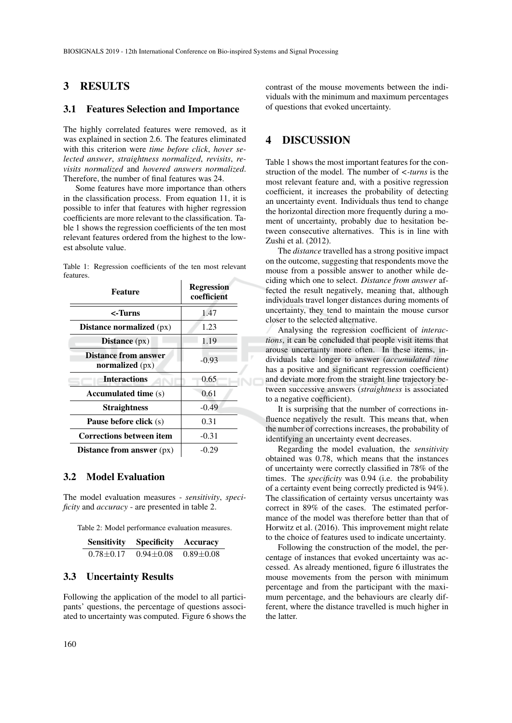## 3 RESULTS

## 3.1 Features Selection and Importance

The highly correlated features were removed, as it was explained in section 2.6. The features eliminated with this criterion were *time before click*, *hover selected answer*, *straightness normalized*, *revisits*, *revisits normalized* and *hovered answers normalized*. Therefore, the number of final features was 24.

Some features have more importance than others in the classification process. From equation 11, it is possible to infer that features with higher regression coefficients are more relevant to the classification. Table 1 shows the regression coefficients of the ten most relevant features ordered from the highest to the lowest absolute value.

|           | Table 1: Regression coefficients of the ten most relevant |  |  |  |
|-----------|-----------------------------------------------------------|--|--|--|
| features. |                                                           |  |  |  |

| Feature                                        | <b>Regression</b><br>coefficient |  |  |  |
|------------------------------------------------|----------------------------------|--|--|--|
| <-Turns                                        | 1.47                             |  |  |  |
| Distance normalized $(px)$                     | 1.23                             |  |  |  |
| Distance (px)                                  | 1.19                             |  |  |  |
| <b>Distance from answer</b><br>normalized (px) | $-0.93$                          |  |  |  |
| <b>Interactions</b>                            | 0.65                             |  |  |  |
| <b>Accumulated time</b> (s)                    | 0.61                             |  |  |  |
| <b>Straightness</b>                            | $-0.49$                          |  |  |  |
| <b>Pause before click</b> (s)                  | 0.31                             |  |  |  |
| <b>Corrections between item</b>                | $-0.31$                          |  |  |  |
| Distance from answer $(px)$                    | $-0.29$                          |  |  |  |

## 3.2 Model Evaluation

The model evaluation measures - *sensitivity*, *specificity* and *accuracy* - are presented in table 2.

Table 2: Model performance evaluation measures.

| <b>Sensitivity</b> | <b>Specificity</b> | Accuracy        |
|--------------------|--------------------|-----------------|
| $0.78 \pm 0.17$    | $0.94 \pm 0.08$    | $0.89 \pm 0.08$ |

## 3.3 Uncertainty Results

Following the application of the model to all participants' questions, the percentage of questions associated to uncertainty was computed. Figure 6 shows the contrast of the mouse movements between the individuals with the minimum and maximum percentages of questions that evoked uncertainty.

# 4 DISCUSSION

Table 1 shows the most important features for the construction of the model. The number of *<-turns* is the most relevant feature and, with a positive regression coefficient, it increases the probability of detecting an uncertainty event. Individuals thus tend to change the horizontal direction more frequently during a moment of uncertainty, probably due to hesitation between consecutive alternatives. This is in line with Zushi et al. (2012).

The *distance* travelled has a strong positive impact on the outcome, suggesting that respondents move the mouse from a possible answer to another while deciding which one to select. *Distance from answer* affected the result negatively, meaning that, although individuals travel longer distances during moments of uncertainty, they tend to maintain the mouse cursor closer to the selected alternative.

Analysing the regression coefficient of *interactions*, it can be concluded that people visit items that arouse uncertainty more often. In these items, individuals take longer to answer (*accumulated time* has a positive and significant regression coefficient) and deviate more from the straight line trajectory between successive answers (*straightness* is associated to a negative coefficient).

It is surprising that the number of corrections influence negatively the result. This means that, when the number of corrections increases, the probability of identifying an uncertainty event decreases.

Regarding the model evaluation, the *sensitivity* obtained was 0.78, which means that the instances of uncertainty were correctly classified in 78% of the times. The *specificity* was 0.94 (i.e. the probability of a certainty event being correctly predicted is 94%). The classification of certainty versus uncertainty was correct in 89% of the cases. The estimated performance of the model was therefore better than that of Horwitz et al. (2016). This improvement might relate to the choice of features used to indicate uncertainty.

Following the construction of the model, the percentage of instances that evoked uncertainty was accessed. As already mentioned, figure 6 illustrates the mouse movements from the person with minimum percentage and from the participant with the maximum percentage, and the behaviours are clearly different, where the distance travelled is much higher in the latter.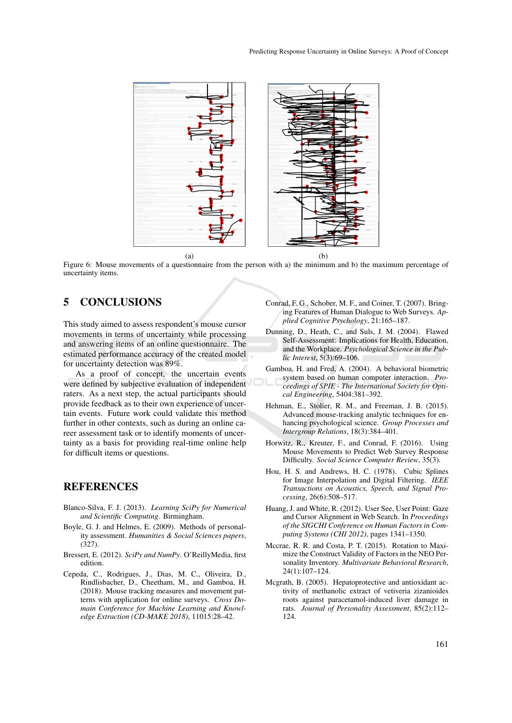

Figure 6: Mouse movements of a questionnaire from the person with a) the minimum and b) the maximum percentage of uncertainty items.

# 5 CONCLUSIONS

This study aimed to assess respondent's mouse cursor movements in terms of uncertainty while processing and answering items of an online questionnaire. The estimated performance accuracy of the created model for uncertainty detection was 89%.

As a proof of concept, the uncertain events were defined by subjective evaluation of independent raters. As a next step, the actual participants should provide feedback as to their own experience of uncertain events. Future work could validate this method further in other contexts, such as during an online career assessment task or to identify moments of uncertainty as a basis for providing real-time online help for difficult items or questions.

# **REFERENCES**

- Blanco-Silva, F. J. (2013). *Learning SciPy for Numerical and Scientific Computing*. Birmingham.
- Boyle, G. J. and Helmes, E. (2009). Methods of personality assessment. *Humanities & Social Sciences papers*, (327).
- Bressert, E. (2012). *SciPy and NumPy*. O'ReillyMedia, first edition.
- Cepeda, C., Rodrigues, J., Dias, M. C., Oliveira, D., Rindlisbacher, D., Cheetham, M., and Gamboa, H. (2018). Mouse tracking measures and movement patterns with application for online surveys. *Cross Domain Conference for Machine Learning and Knowledge Extraction (CD-MAKE 2018)*, 11015:28–42.
- Conrad, F. G., Schober, M. F., and Coiner, T. (2007). Bringing Features of Human Dialogue to Web Surveys. *Applied Cognitive Psychology*, 21:165–187.
- Dunning, D., Heath, C., and Suls, J. M. (2004). Flawed Self-Assessment: Implications for Health, Education, and the Workplace. *Psychological Science in the Public Interest*, 5(3):69–106.
- Gamboa, H. and Fred, A. (2004). A behavioral biometric system based on human computer interaction. *Proceedings of SPIE - The International Society for Optical Engineering*, 5404:381–392.
- Hehman, E., Stolier, R. M., and Freeman, J. B. (2015). Advanced mouse-tracking analytic techniques for enhancing psychological science. *Group Processes and Intergroup Relations*, 18(3):384–401.
- Horwitz, R., Kreuter, F., and Conrad, F. (2016). Using Mouse Movements to Predict Web Survey Response Difficulty. *Social Science Computer Review*, 35(3).
- Hou, H. S. and Andrews, H. C. (1978). Cubic Splines for Image Interpolation and Digital Filtering. *IEEE Transactions on Acoustics, Speech, and Signal Processing*, 26(6):508–517.
- Huang, J. and White, R. (2012). User See, User Point: Gaze and Cursor Alignment in Web Search. In *Proceedings of the SIGCHI Conference on Human Factors in Computing Systems (CHI 2012)*, pages 1341–1350.
- Mccrae, R. R. and Costa, P. T. (2015). Rotation to Maximize the Construct Validity of Factors in the NEO Personality Inventory. *Multivariate Behavioral Research*, 24(1):107–124.
- Mcgrath, B. (2005). Hepatoprotective and antioxidant activity of methanolic extract of vetiveria zizanioides roots against paracetamol-induced liver damage in rats. *Journal of Personality Assessment*, 85(2):112– 124.